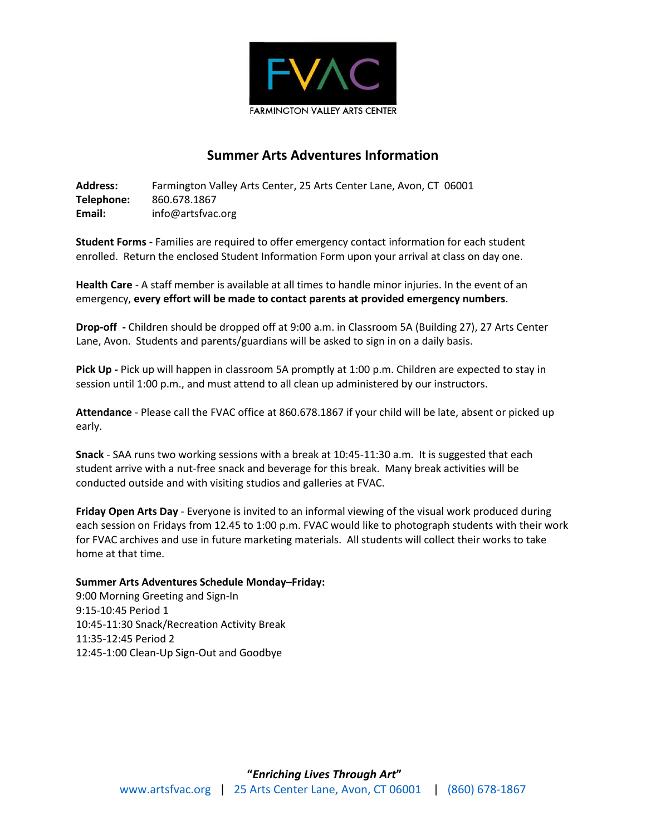

## **Summer Arts Adventures Information**

**Address:** Farmington Valley Arts Center, 25 Arts Center Lane, Avon, CT 06001 **Telephone:** 860.678.1867 **Email:** info@artsfvac.org

**Student Forms -** Families are required to offer emergency contact information for each student enrolled. Return the enclosed Student Information Form upon your arrival at class on day one.

**Health Care** - A staff member is available at all times to handle minor injuries. In the event of an emergency, **every effort will be made to contact parents at provided emergency numbers**.

**Drop-off -** Children should be dropped off at 9:00 a.m. in Classroom 5A (Building 27), 27 Arts Center Lane, Avon. Students and parents/guardians will be asked to sign in on a daily basis.

**Pick Up -** Pick up will happen in classroom 5A promptly at 1:00 p.m. Children are expected to stay in session until 1:00 p.m., and must attend to all clean up administered by our instructors.

**Attendance** - Please call the FVAC office at 860.678.1867 if your child will be late, absent or picked up early.

**Snack** - SAA runs two working sessions with a break at 10:45-11:30 a.m. It is suggested that each student arrive with a nut-free snack and beverage for this break. Many break activities will be conducted outside and with visiting studios and galleries at FVAC.

**Friday Open Arts Day** - Everyone is invited to an informal viewing of the visual work produced during each session on Fridays from 12.45 to 1:00 p.m. FVAC would like to photograph students with their work for FVAC archives and use in future marketing materials. All students will collect their works to take home at that time.

## **Summer Arts Adventures Schedule Monday–Friday:**

9:00 Morning Greeting and Sign-In 9:15-10:45 Period 1 10:45-11:30 Snack/Recreation Activity Break 11:35-12:45 Period 2 12:45-1:00 Clean-Up Sign-Out and Goodbye